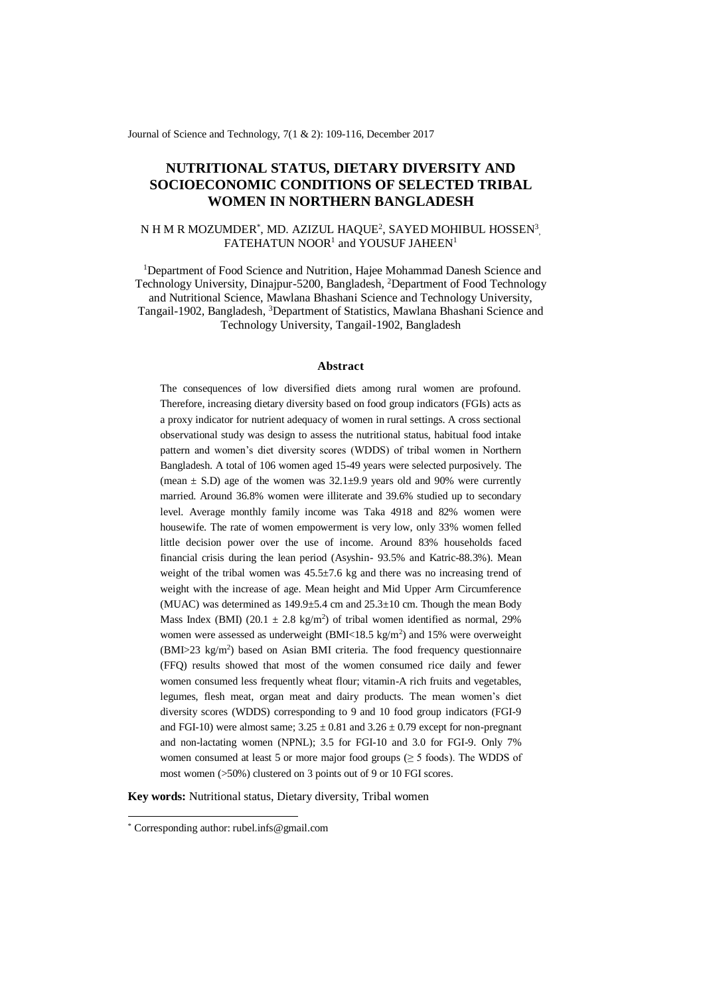Journal of Science and Technology, 7(1 & 2): 109-116, December 2017

# **NUTRITIONAL STATUS, DIETARY DIVERSITY AND SOCIOECONOMIC CONDITIONS OF SELECTED TRIBAL WOMEN IN NORTHERN BANGLADESH**

# N H M R MOZUMDER\*, MD. AZIZUL HAQUE<sup>2</sup>, SAYED MOHIBUL HOSSEN<sup>3</sup>, FATEHATUN NOOR<sup>1</sup> and YOUSUF JAHEEN<sup>1</sup>

<sup>1</sup>Department of [Food Science and Nutrition,](https://www.hstu.ac.bd/engineering/fsn) Hajee Mohammad Danesh Science and Technology University, Dinajpur-5200, Bangladesh, <sup>2</sup>Department of Food Technology and Nutritional Science, Mawlana Bhashani Science and Technology University, Tangail-1902, Bangladesh, <sup>3</sup>Department of Statistics, Mawlana Bhashani Science and Technology University, Tangail-1902, Bangladesh

#### **Abstract**

The consequences of low diversified diets among rural women are profound. Therefore, increasing dietary diversity based on food group indicators (FGIs) acts as a proxy indicator for nutrient adequacy of women in rural settings. A cross sectional observational study was design to assess the nutritional status, habitual food intake pattern and women's diet diversity scores (WDDS) of tribal women in Northern Bangladesh. A total of 106 women aged 15-49 years were selected purposively. The (mean  $\pm$  S.D) age of the women was 32.1 $\pm$ 9.9 years old and 90% were currently married. Around 36.8% women were illiterate and 39.6% studied up to secondary level. Average monthly family income was Taka 4918 and 82% women were housewife. The rate of women empowerment is very low, only 33% women felled little decision power over the use of income. Around 83% households faced financial crisis during the lean period (Asyshin- 93.5% and Katric-88.3%). Mean weight of the tribal women was  $45.5\pm7.6$  kg and there was no increasing trend of weight with the increase of age. Mean height and Mid Upper Arm Circumference (MUAC) was determined as  $149.9 \pm 5.4$  cm and  $25.3 \pm 10$  cm. Though the mean Body Mass Index (BMI) (20.1  $\pm$  2.8 kg/m<sup>2</sup>) of tribal women identified as normal, 29% women were assessed as underweight (BMI<18.5 kg/m<sup>2</sup>) and 15% were overweight (BMI>23 kg/m<sup>2</sup>) based on Asian BMI criteria. The food frequency questionnaire (FFQ) results showed that most of the women consumed rice daily and fewer women consumed less frequently wheat flour; vitamin-A rich fruits and vegetables, legumes, flesh meat, organ meat and dairy products. The mean women's diet diversity scores (WDDS) corresponding to 9 and 10 food group indicators (FGI-9 and FGI-10) were almost same;  $3.25 \pm 0.81$  and  $3.26 \pm 0.79$  except for non-pregnant and non-lactating women (NPNL); 3.5 for FGI-10 and 3.0 for FGI-9. Only 7% women consumed at least 5 or more major food groups  $(≥ 5$  foods). The WDDS of most women (>50%) clustered on 3 points out of 9 or 10 FGI scores.

**Key words:** Nutritional status, Dietary diversity, Tribal women

-

<sup>\*</sup> Corresponding author: rubel.infs@gmail.com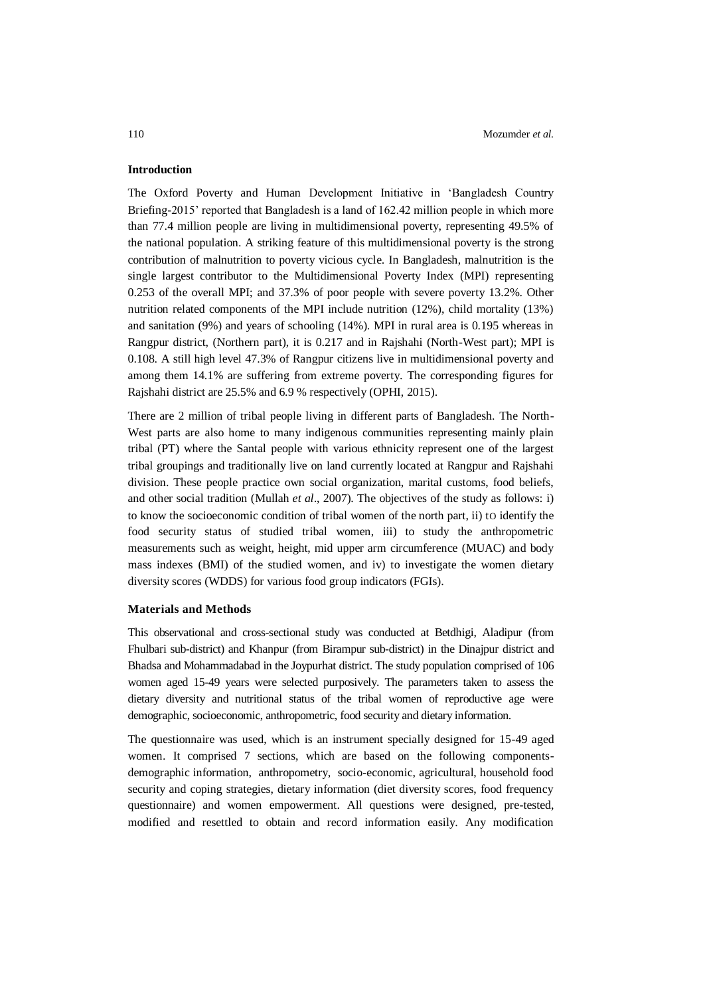### **Introduction**

The Oxford Poverty and Human Development Initiative in 'Bangladesh Country Briefing-2015' reported that Bangladesh is a land of 162.42 million people in which more than 77.4 million people are living in multidimensional poverty, representing 49.5% of the national population. A striking feature of this multidimensional poverty is the strong contribution of malnutrition to poverty vicious cycle. In Bangladesh, malnutrition is the single largest contributor to the Multidimensional Poverty Index (MPI) representing 0.253 of the overall MPI; and 37.3% of poor people with severe poverty 13.2%. Other nutrition related components of the MPI include nutrition (12%), child mortality (13%) and sanitation (9%) and years of schooling (14%). MPI in rural area is 0.195 whereas in Rangpur district, (Northern part), it is 0.217 and in Rajshahi (North-West part); MPI is 0.108. A still high level 47.3% of Rangpur citizens live in multidimensional poverty and among them 14.1% are suffering from extreme poverty. The corresponding figures for Rajshahi district are 25.5% and 6.9 % respectively (OPHI, 2015).

There are 2 million of tribal people living in different parts of Bangladesh. The North-West parts are also home to many indigenous communities representing mainly plain tribal (PT) where the Santal people with various ethnicity represent one of the largest tribal groupings and traditionally live on land currently located at Rangpur and Rajshahi division. These people practice own social organization, marital customs, food beliefs, and other social tradition (Mullah *et al*., 2007). The objectives of the study as follows: i) to know the socioeconomic condition of tribal women of the north part, ii) tO identify the food security status of studied tribal women, iii) to study the anthropometric measurements such as weight, height, mid upper arm circumference (MUAC) and body mass indexes (BMI) of the studied women, and iv) to investigate the women dietary diversity scores (WDDS) for various food group indicators (FGIs).

#### **Materials and Methods**

This observational and cross-sectional study was conducted at Betdhigi, Aladipur (from Fhulbari sub-district) and Khanpur (from Birampur sub-district) in the Dinajpur district and Bhadsa and Mohammadabad in the Joypurhat district. The study population comprised of 106 women aged 15-49 years were selected purposively. The parameters taken to assess the dietary diversity and nutritional status of the tribal women of reproductive age were demographic, socioeconomic, anthropometric, food security and dietary information.

The questionnaire was used, which is an instrument specially designed for 15-49 aged women. It comprised 7 sections, which are based on the following componentsdemographic information, anthropometry, socio-economic, agricultural, household food security and coping strategies, dietary information (diet diversity scores, food frequency questionnaire) and women empowerment. All questions were designed, pre-tested, modified and resettled to obtain and record information easily. Any modification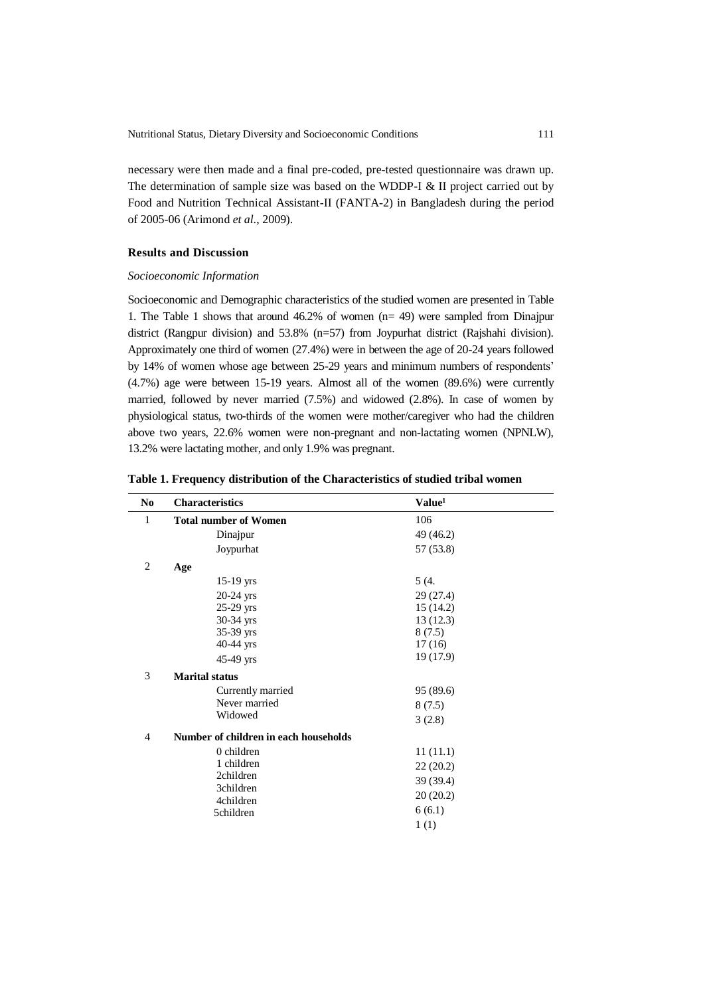necessary were then made and a final pre-coded, pre-tested questionnaire was drawn up. The determination of sample size was based on the WDDP-I & II project carried out by Food and Nutrition Technical Assistant-II (FANTA-2) in Bangladesh during the period of 2005-06 (Arimond *et al*., 2009).

# **Results and Discussion**

#### *Socioeconomic Information*

Socioeconomic and Demographic characteristics of the studied women are presented in Table 1. The Table 1 shows that around 46.2% of women (n= 49) were sampled from Dinajpur district (Rangpur division) and 53.8% (n=57) from Joypurhat district (Rajshahi division). Approximately one third of women (27.4%) were in between the age of 20-24 years followed by 14% of women whose age between 25-29 years and minimum numbers of respondents' (4.7%) age were between 15-19 years. Almost all of the women (89.6%) were currently married, followed by never married (7.5%) and widowed (2.8%). In case of women by physiological status, two-thirds of the women were mother/caregiver who had the children above two years, 22.6% women were non-pregnant and non-lactating women (NPNLW), 13.2% were lactating mother, and only 1.9% was pregnant.

**Table 1. Frequency distribution of the Characteristics of studied tribal women**

| N <sub>0</sub> | <b>Characteristics</b>                | Value <sup>1</sup> |  |
|----------------|---------------------------------------|--------------------|--|
| $\mathbf{1}$   | <b>Total number of Women</b>          | 106                |  |
|                | Dinajpur                              | 49 (46.2)          |  |
|                | Joypurhat                             | 57 (53.8)          |  |
| $\overline{2}$ | Age                                   |                    |  |
|                | $15-19$ yrs                           | 5(4.               |  |
|                | $20-24$ yrs                           | 29 (27.4)          |  |
|                | 25-29 yrs                             | 15(14.2)           |  |
|                | 30-34 yrs                             | 13(12.3)           |  |
|                | 35-39 yrs                             | 8(7.5)             |  |
|                | $40-44$ yrs                           | 17(16)             |  |
|                | 45-49 yrs                             | 19 (17.9)          |  |
| 3              | <b>Marital status</b>                 |                    |  |
|                | Currently married                     | 95 (89.6)          |  |
|                | Never married                         | 8(7.5)             |  |
|                | Widowed                               | 3(2.8)             |  |
| $\overline{4}$ | Number of children in each households |                    |  |
|                | 0 children                            | 11(11.1)           |  |
|                | 1 children                            | 22(20.2)           |  |
|                | 2children                             | 39 (39.4)          |  |
|                | 3children                             | 20(20.2)           |  |
|                | 4children                             |                    |  |
|                | 5children                             | 6(6.1)             |  |
|                |                                       | 1(1)               |  |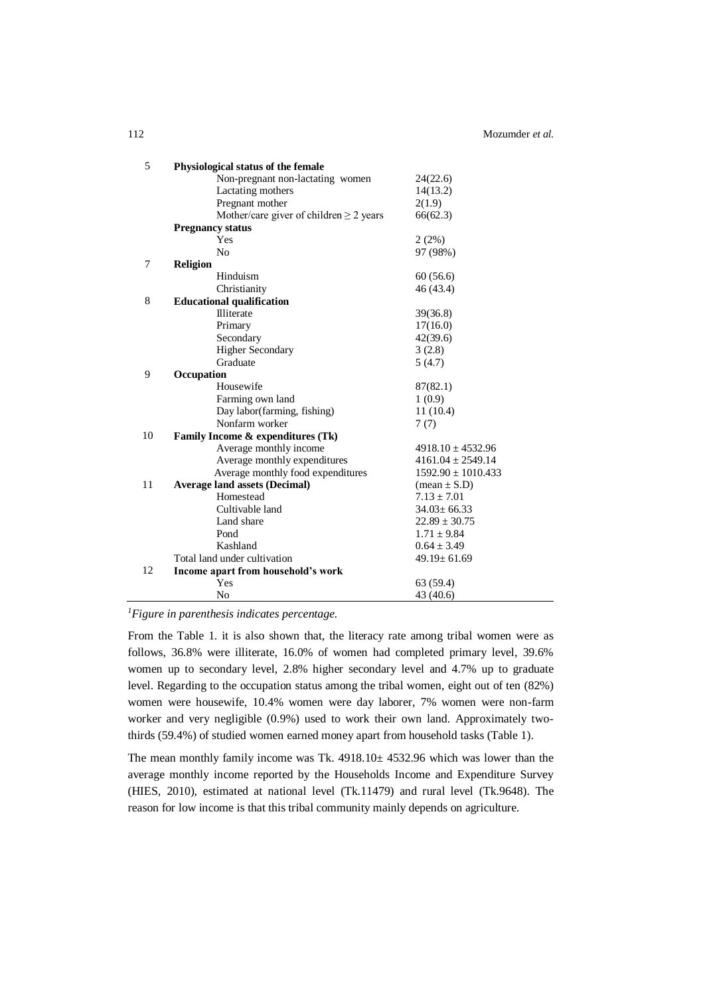| 5  | Physiological status of the female           |                         |
|----|----------------------------------------------|-------------------------|
|    | Non-pregnant non-lactating women             | 24(22.6)                |
|    | Lactating mothers                            | 14(13.2)                |
|    | Pregnant mother                              | 2(1.9)                  |
|    | Mother/care giver of children $\geq 2$ years | 66(62.3)                |
|    | <b>Pregnancy status</b>                      |                         |
|    | Yes                                          | 2(2%)                   |
|    | N <sub>o</sub>                               | 97 (98%)                |
| 7  | <b>Religion</b>                              |                         |
|    | Hinduism                                     | 60(56.6)                |
|    | Christianity                                 | 46 (43.4)               |
| 8  | <b>Educational qualification</b>             |                         |
|    | Illiterate                                   | 39(36.8)                |
|    | Primary                                      | 17(16.0)                |
|    | Secondary                                    | 42(39.6)                |
|    | <b>Higher Secondary</b>                      | 3(2.8)                  |
|    | Graduate                                     | 5(4.7)                  |
| 9  | Occupation                                   |                         |
|    | Housewife                                    | 87(82.1)                |
|    | Farming own land                             | 1(0.9)                  |
|    | Day labor(farming, fishing)                  | 11(10.4)                |
|    | Nonfarm worker                               | 7(7)                    |
| 10 | Family Income & expenditures (Tk)            |                         |
|    | Average monthly income                       | $4918.10 \pm 4532.96$   |
|    | Average monthly expenditures                 | $4161.04 \pm 2549.14$   |
|    | Average monthly food expenditures            | $1592.90 \pm 1010.433$  |
| 11 | <b>Average land assets (Decimal)</b>         | $(\text{mean} \pm S.D)$ |
|    | Homestead                                    | $7.13 \pm 7.01$         |
|    | Cultivable land                              | $34.03 \pm 66.33$       |
|    | Land share                                   | $22.89 \pm 30.75$       |
|    | Pond                                         | $1.71 \pm 9.84$         |
|    | Kashland                                     | $0.64 \pm 3.49$         |
|    | Total land under cultivation                 | $49.19 \pm 61.69$       |
| 12 | Income apart from household's work           |                         |
|    | Yes                                          | 63 (59.4)               |
|    | N <sub>0</sub>                               | 43 (40.6)               |

*<sup>1</sup>Figure in parenthesis indicates percentage.*

From the Table 1. it is also shown that, the literacy rate among tribal women were as follows, 36.8% were illiterate, 16.0% of women had completed primary level, 39.6% women up to secondary level, 2.8% higher secondary level and 4.7% up to graduate level. Regarding to the occupation status among the tribal women, eight out of ten (82%) women were housewife, 10.4% women were day laborer, 7% women were non-farm worker and very negligible (0.9%) used to work their own land. Approximately twothirds (59.4%) of studied women earned money apart from household tasks (Table 1).

The mean monthly family income was Tk. 4918.10± 4532.96 which was lower than the average monthly income reported by the Households Income and Expenditure Survey (HIES, 2010), estimated at national level (Tk.11479) and rural level (Tk.9648). The reason for low income is that this tribal community mainly depends on agriculture.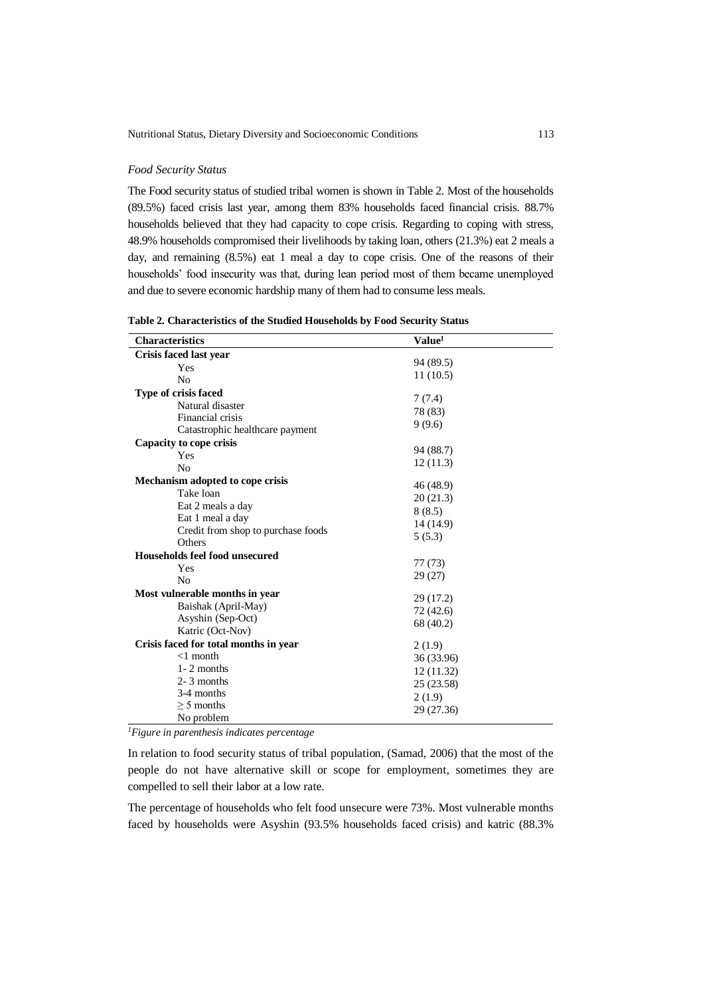#### *Food Security Status*

The Food security status of studied tribal women is shown in Table 2. Most of the households (89.5%) faced crisis last year, among them 83% households faced financial crisis. 88.7% households believed that they had capacity to cope crisis. Regarding to coping with stress, 48.9% households compromised their livelihoods by taking loan, others (21.3%) eat 2 meals a day, and remaining (8.5%) eat 1 meal a day to cope crisis. One of the reasons of their households' food insecurity was that, during lean period most of them became unemployed and due to severe economic hardship many of them had to consume less meals.

| <b>Characteristics</b>                | Value <sup>1</sup> |  |
|---------------------------------------|--------------------|--|
| Crisis faced last year                |                    |  |
| Yes                                   | 94 (89.5)          |  |
| N <sub>0</sub>                        | 11(10.5)           |  |
| Type of crisis faced                  |                    |  |
| Natural disaster                      | 7(7.4)             |  |
| Financial crisis                      | 78 (83)            |  |
| Catastrophic healthcare payment       | 9(9.6)             |  |
| Capacity to cope crisis               |                    |  |
| Yes                                   | 94 (88.7)          |  |
| No                                    | 12(11.3)           |  |
| Mechanism adopted to cope crisis      |                    |  |
| Take loan                             | 46 (48.9)          |  |
| Eat 2 meals a day                     | 20(21.3)           |  |
| Eat 1 meal a day                      | 8(8.5)             |  |
| Credit from shop to purchase foods    | 14 (14.9)          |  |
| Others                                | 5(5.3)             |  |
| Households feel food unsecured        |                    |  |
| Yes                                   | 77 (73)            |  |
| No                                    | 29 (27)            |  |
| Most vulnerable months in year        |                    |  |
| Baishak (April-May)                   | 29 (17.2)          |  |
| Asyshin (Sep-Oct)                     | 72 (42.6)          |  |
| Katric (Oct-Nov)                      | 68 (40.2)          |  |
| Crisis faced for total months in year | 2(1.9)             |  |
| $<1$ month                            | 36 (33.96)         |  |
| $1 - 2$ months                        | 12(11.32)          |  |
| $2 - 3$ months                        | 25 (23.58)         |  |
| 3-4 months                            | 2(1.9)             |  |
| $\geq$ 5 months                       | 29 (27.36)         |  |
| No problem                            |                    |  |

*<sup>1</sup>Figure in parenthesis indicates percentage*

In relation to food security status of tribal population, (Samad, 2006) that the most of the people do not have alternative skill or scope for employment, sometimes they are compelled to sell their labor at a low rate.

The percentage of households who felt food unsecure were 73%. Most vulnerable months faced by households were Asyshin (93.5% households faced crisis) and katric (88.3%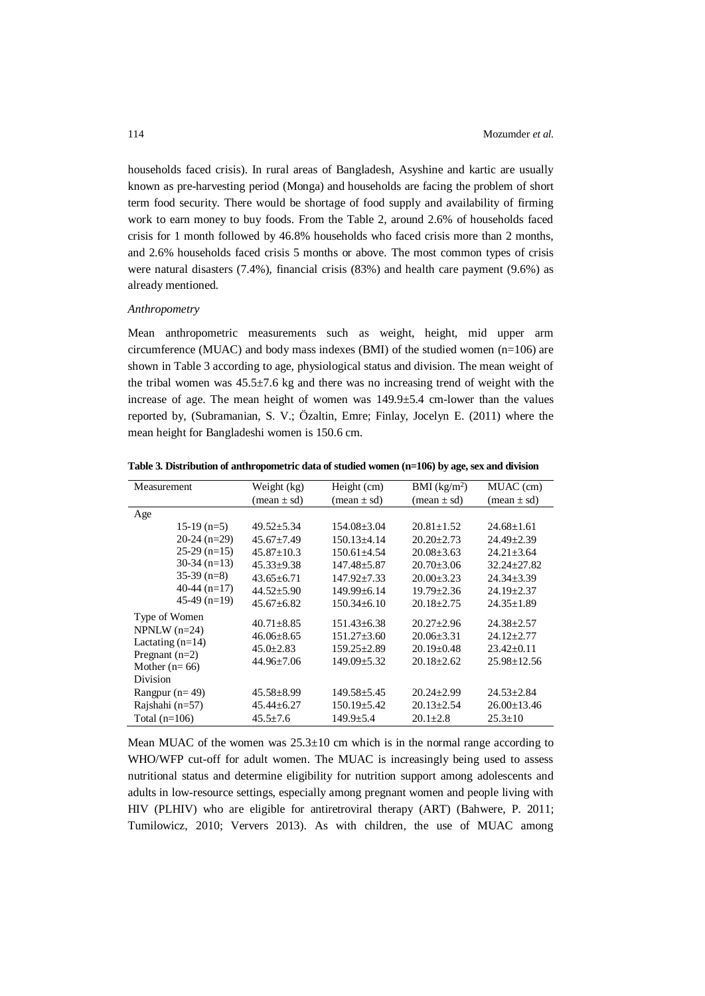households faced crisis). In rural areas of Bangladesh, Asyshine and kartic are usually known as pre-harvesting period (Monga) and households are facing the problem of short term food security. There would be shortage of food supply and availability of firming work to earn money to buy foods. From the Table 2, around 2.6% of households faced crisis for 1 month followed by 46.8% households who faced crisis more than 2 months, and 2.6% households faced crisis 5 months or above. The most common types of crisis were natural disasters (7.4%), financial crisis (83%) and health care payment (9.6%) as already mentioned.

#### *Anthropometry*

Mean anthropometric measurements such as weight, height, mid upper arm circumference (MUAC) and body mass indexes (BMI) of the studied women (n=106) are shown in Table 3 according to age, physiological status and division. The mean weight of the tribal women was  $45.5\pm7.6$  kg and there was no increasing trend of weight with the increase of age. The mean height of women was 149.9±5.4 cm-lower than the values reported by, (Subramanian, S. V.; Özaltin, Emre; Finlay, Jocelyn E. (2011) where the mean height for Bangladeshi women is 150.6 cm.

**Table 3. Distribution of anthropometric data of studied women (n=106) by age, sex and division**

| <b>Measurement</b>                     | Weight (kg)                   | Height (cm)                   | BMI (kg/m <sup>2</sup> )      | MUAC (cm)                     |
|----------------------------------------|-------------------------------|-------------------------------|-------------------------------|-------------------------------|
|                                        |                               |                               |                               |                               |
|                                        | $(\text{mean} \pm \text{sd})$ | $(\text{mean} \pm \text{sd})$ | $(\text{mean} \pm \text{sd})$ | $(\text{mean} \pm \text{sd})$ |
| Age                                    |                               |                               |                               |                               |
| $15-19$ (n=5)                          | $49.52 \pm 5.34$              | $154.08 \pm 3.04$             | $20.81 \pm 1.52$              | $24.68 \pm 1.61$              |
| $20-24$ (n=29)                         | $45.67 \pm 7.49$              | $150.13\pm4.14$               | $20.20 \pm 2.73$              | $24.49 \pm 2.39$              |
| $25-29$ (n=15)                         | $45.87 \pm 10.3$              | $150.61 \pm 4.54$             | $20.08 \pm 3.63$              | $24.21 \pm 3.64$              |
| $30-34$ (n=13)                         | $45.33 \pm 9.38$              | $147.48 + 5.87$               | $20.70 + 3.06$                | $32.24 + 27.82$               |
| $35-39$ (n=8)                          | $43.65 \pm 6.71$              | $147.92 \pm 7.33$             | $20.00 \pm 3.23$              | $24.34 \pm 3.39$              |
| 40-44 $(n=17)$                         | $44.52 \pm 5.90$              | $149.99 + 6.14$               | $19.79 + 2.36$                | $24.19 \pm 2.37$              |
| $45-49$ (n=19)                         | $45.67 + 6.82$                | $150.34 + 6.10$               | $20.18 + 2.75$                | $24.35 \pm 1.89$              |
| Type of Women                          | $40.71 \pm 8.85$              | $151.43 \pm 6.38$             | $20.27 \pm 2.96$              | $24.38 \pm 2.57$              |
| $NPNLW$ (n=24)                         | $46.06 \pm 8.65$              | $151.27 + 3.60$               | $20.06 + 3.31$                | $24.12 + 2.77$                |
| Lactating $(n=14)$<br>Pregnant $(n=2)$ | $45.0 \pm 2.83$               | $159.25 \pm 2.89$             | $20.19 \pm 0.48$              | $23.42 \pm 0.11$              |
| Mother $(n=66)$                        | $44.96 \pm 7.06$              | $149.09 \pm 5.32$             | $20.18 + 2.62$                | $25.98 \pm 12.56$             |
| <b>Division</b>                        |                               |                               |                               |                               |
| Rangpur $(n=49)$                       | $45.58 \pm 8.99$              | $149.58 \pm 5.45$             | $20.24 \pm 2.99$              | $24.53 \pm 2.84$              |
| Rajshahi (n=57)                        | $45.44 \pm 6.27$              | $150.19 \pm 5.42$             | $20.13 \pm 2.54$              | $26.00 \pm 13.46$             |
| Total $(n=106)$                        | $45.5 \pm 7.6$                | $149.9 \pm 5.4$               | $20.1 \pm 2.8$                | $25.3 \pm 10$                 |

Mean MUAC of the women was  $25.3\pm10$  cm which is in the normal range according to WHO/WFP cut-off for adult women. The MUAC is increasingly being used to assess nutritional status and determine eligibility for nutrition support among adolescents and adults in low-resource settings, especially among pregnant women and people living with HIV (PLHIV) who are eligible for antiretroviral therapy (ART) (Bahwere, P. 2011; Tumilowicz, 2010; Ververs 2013). As with children, the use of MUAC among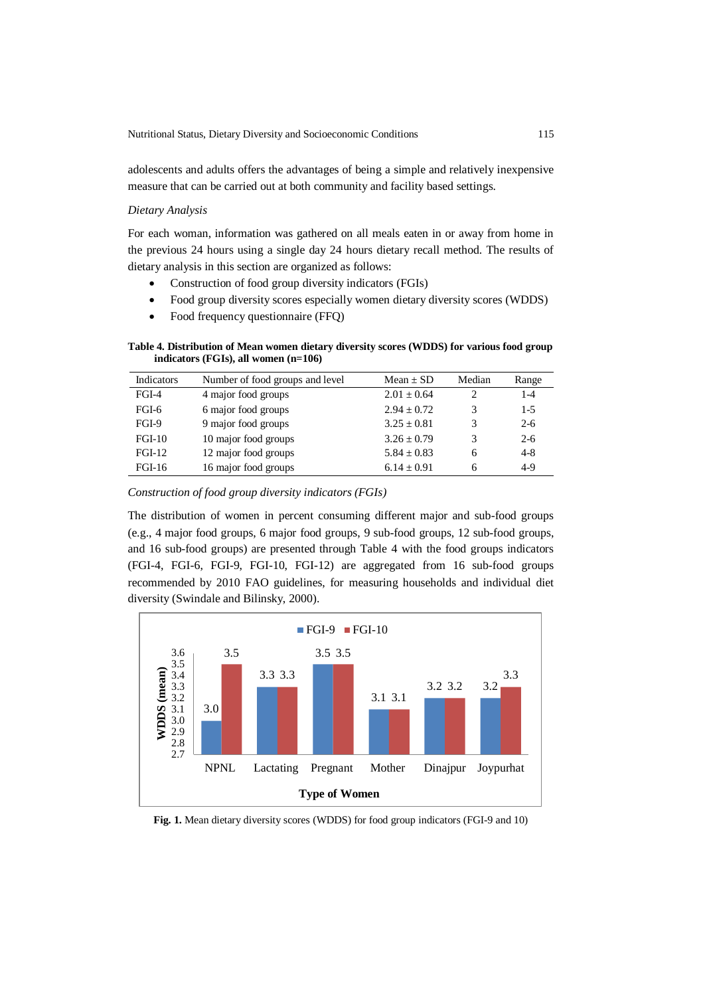adolescents and adults offers the advantages of being a simple and relatively inexpensive measure that can be carried out at both community and facility based settings.

#### *Dietary Analysis*

For each woman, information was gathered on all meals eaten in or away from home in the previous 24 hours using a single day 24 hours dietary recall method. The results of dietary analysis in this section are organized as follows:

- Construction of food group diversity indicators (FGIs)
- Food group diversity scores especially women dietary diversity scores (WDDS)
- Food frequency questionnaire (FFQ)

**Table 4. Distribution of Mean women dietary diversity scores (WDDS) for various food group indicators (FGIs), all women (n=106)**

| Indicators    | Number of food groups and level | Mean $\pm$ SD   | Median                      | Range   |
|---------------|---------------------------------|-----------------|-----------------------------|---------|
| $FGI-4$       | 4 major food groups             | $2.01 + 0.64$   | $\mathcal{D}_{\mathcal{L}}$ | $1 - 4$ |
| FGI-6         | 6 major food groups             | $2.94 + 0.72$   | 3                           | $1 - 5$ |
| $FGI-9$       | 9 major food groups             | $3.25 + 0.81$   | 3                           | $2-6$   |
| $FGI-10$      | 10 major food groups            | $3.26 + 0.79$   | 3                           | $2 - 6$ |
| $FGI-12$      | 12 major food groups            | $5.84 + 0.83$   | 6                           | $4 - 8$ |
| <b>FGI-16</b> | 16 major food groups            | $6.14 \pm 0.91$ | 6                           | $4-9$   |

*Construction of food group diversity indicators (FGIs)*

The distribution of women in percent consuming different major and sub-food groups (e.g., 4 major food groups, 6 major food groups, 9 sub-food groups, 12 sub-food groups, and 16 sub-food groups) are presented through Table 4 with the food groups indicators (FGI-4, FGI-6, FGI-9, FGI-10, FGI-12) are aggregated from 16 sub-food groups recommended by 2010 FAO guidelines, for measuring households and individual diet diversity (Swindale and Bilinsky, 2000).



**Fig. 1.** Mean dietary diversity scores (WDDS) for food group indicators (FGI-9 and 10)